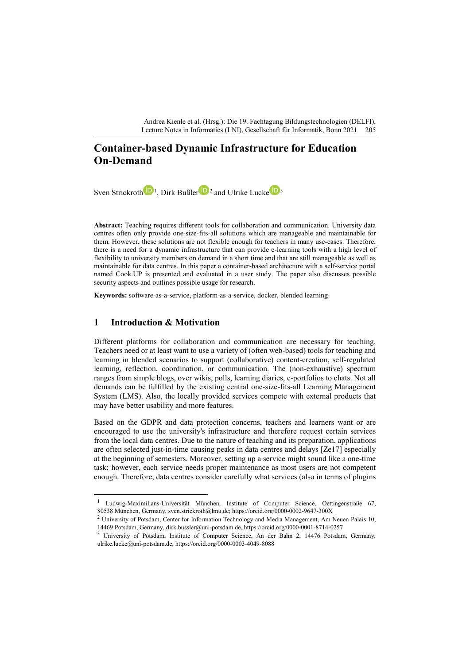Andrea Kienle et al. (Hrsg.): Die 19. Fachtagung Bildungstechnologien (DELFI), Lecture Notes in Informatics (LNI), Gesellschaft für Informatik, Bonn 2021

# **Container-based Dynamic Infrastructure for Education On-Demand**

Sven Strickroth  $1,$  $1,$  Dirk Bußler  $2^2$  $2^2$  and Ulrike Lucke  $3^3$  $3^3$ 

**Abstract:** Teaching requires different tools for collaboration and communication. University data centres often only provide one-size-fits-all solutions which are manageable and maintainable for them. However, these solutions are not flexible enough for teachers in many use-cases. Therefore, there is a need for a dynamic infrastructure that can provide e-learning tools with a high level of flexibility to university members on demand in a short time and that are still manageable as well as maintainable for data centres. In this paper a container-based architecture with a self-service portal named Cook.UP is presented and evaluated in a user study. The paper also discusses possible security aspects and outlines possible usage for research.

**Keywords:** software-as-a-service, platform-as-a-service, docker, blended learning

## **1 Introduction & Motivation**

Different platforms for collaboration and communication are necessary for teaching. Teachers need or at least want to use a variety of (often web-based) tools for teaching and learning in blended scenarios to support (collaborative) content-creation, self-regulated learning, reflection, coordination, or communication. The (non-exhaustive) spectrum ranges from simple blogs, over wikis, polls, learning diaries, e-portfolios to chats. Not all demands can be fulfilled by the existing central one-size-fits-all Learning Management System (LMS). Also, the locally provided services compete with external products that may have better usability and more features.

Based on the GDPR and data protection concerns, teachers and learners want or are encouraged to use the university's infrastructure and therefore request certain services from the local data centres. Due to the nature of teaching and its preparation, applications are often selected just-in-time causing peaks in data centres and delays [Ze17] especially at the beginning of semesters. Moreover, setting up a service might sound like a one-time task; however, each service needs proper maintenance as most users are not competent enough. Therefore, data centres consider carefully what services (also in terms of plugins

<span id="page-0-0"></span><sup>&</sup>lt;sup>1</sup> Ludwig-Maximilians-Universität München, Institute of Computer Science, Oettingenstraße 67, 80538 München, Germany, sven.strickroth@lmu.de; https://orcid.org/0000-0002-9647-300X

<span id="page-0-1"></span><sup>&</sup>lt;sup>2</sup> University of Potsdam, Center for Information Technology and Media Management, Am Neuen Palais 10, 14469 Potsdam, Germany, dirk.bussler@uni-potsdam.de, https://orcid.org/0000-0001-8714-0257

<span id="page-0-2"></span><sup>3</sup> University of Potsdam, Institute of Computer Science, An der Bahn 2, 14476 Potsdam, Germany, ulrike.lucke@uni-potsdam.de, https://orcid.org/0000-0003-4049-8088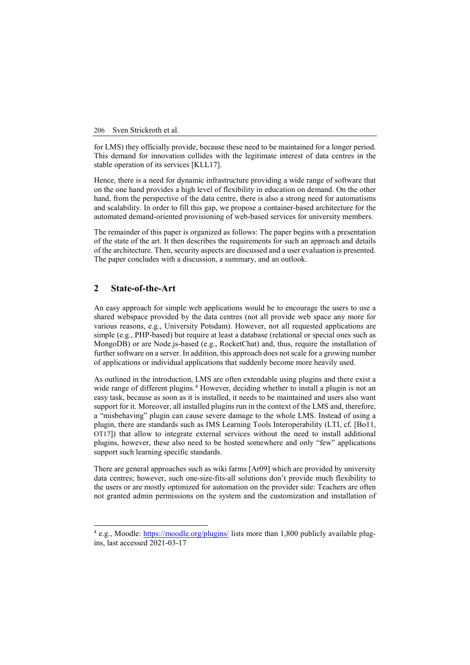for LMS) they officially provide, because these need to be maintained for a longer period. This demand for innovation collides with the legitimate interest of data centres in the stable operation of its services [KLL17].

Hence, there is a need for dynamic infrastructure providing a wide range of software that on the one hand provides a high level of flexibility in education on demand. On the other hand, from the perspective of the data centre, there is also a strong need for automatisms and scalability. In order to fill this gap, we propose a container-based architecture for the automated demand-oriented provisioning of web-based services for university members.

The remainder of this paper is organized as follows: The paper begins with a presentation of the state of the art. It then describes the requirements for such an approach and details of the architecture. Then, security aspects are discussed and a user evaluation is presented. The paper concludes with a discussion, a summary, and an outlook.

# **2 State-of-the-Art**

An easy approach for simple web applications would be to encourage the users to use a shared webspace provided by the data centres (not all provide web space any more for various reasons, e.g., University Potsdam). However, not all requested applications are simple (e.g., PHP-based) but require at least a database (relational or special ones such as MongoDB) or are Node.js-based (e.g., RocketChat) and, thus, require the installation of further software on a server. In addition, this approach does not scale for a growing number of applications or individual applications that suddenly become more heavily used.

As outlined in the introduction, LMS are often extendable using plugins and there exist a wide range of different plugins.<sup>[4](#page-1-0)</sup> However, deciding whether to install a plugin is not an easy task, because as soon as it is installed, it needs to be maintained and users also want support for it. Moreover, all installed plugins run in the context of the LMS and, therefore, a "misbehaving" plugin can cause severe damage to the whole LMS. Instead of using a plugin, there are standards such as IMS Learning Tools Interoperability (LTI, cf. [Bo11, OT17]) that allow to integrate external services without the need to install additional plugins, however, these also need to be hosted somewhere and only "few" applications support such learning specific standards.

There are general approaches such as wiki farms [Ar09] which are provided by university data centres; however, such one-size-fits-all solutions don't provide much flexibility to the users or are mostly optimized for automation on the provider side: Teachers are often not granted admin permissions on the system and the customization and installation of

<span id="page-1-0"></span> $4$  e.g., Moodle: <https://moodle.org/plugins/> lists more than 1,800 publicly available plugins, last accessed 2021-03-17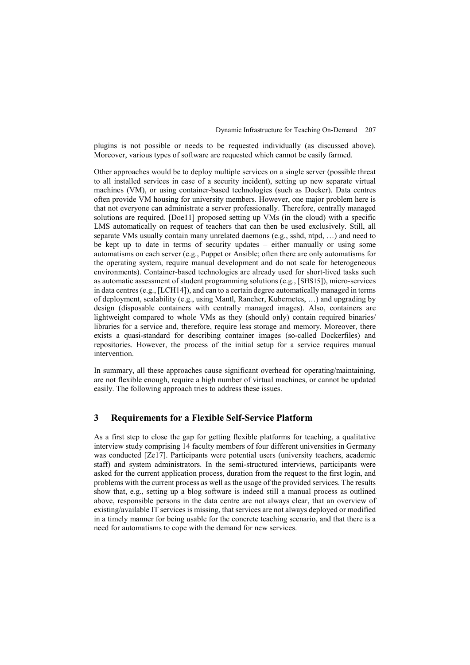plugins is not possible or needs to be requested individually (as discussed above). Moreover, various types of software are requested which cannot be easily farmed.

Other approaches would be to deploy multiple services on a single server (possible threat to all installed services in case of a security incident), setting up new separate virtual machines (VM), or using container-based technologies (such as Docker). Data centres often provide VM housing for university members. However, one major problem here is that not everyone can administrate a server professionally. Therefore, centrally managed solutions are required. [Doe11] proposed setting up VMs (in the cloud) with a specific LMS automatically on request of teachers that can then be used exclusively. Still, all separate VMs usually contain many unrelated daemons (e.g., sshd, ntpd, …) and need to be kept up to date in terms of security updates – either manually or using some automatisms on each server (e.g., Puppet or Ansible; often there are only automatisms for the operating system, require manual development and do not scale for heterogeneous environments). Container-based technologies are already used for short-lived tasks such as automatic assessment of student programming solutions (e.g., [SHS15]), micro-services in data centres (e.g., [LCH14]), and can to a certain degree automatically managed in terms of deployment, scalability (e.g., using Mantl, Rancher, Kubernetes, …) and upgrading by design (disposable containers with centrally managed images). Also, containers are lightweight compared to whole VMs as they (should only) contain required binaries/ libraries for a service and, therefore, require less storage and memory. Moreover, there exists a quasi-standard for describing container images (so-called Dockerfiles) and repositories. However, the process of the initial setup for a service requires manual intervention.

In summary, all these approaches cause significant overhead for operating/maintaining, are not flexible enough, require a high number of virtual machines, or cannot be updated easily. The following approach tries to address these issues.

### **3 Requirements for a Flexible Self-Service Platform**

As a first step to close the gap for getting flexible platforms for teaching, a qualitative interview study comprising 14 faculty members of four different universities in Germany was conducted [Ze17]. Participants were potential users (university teachers, academic staff) and system administrators. In the semi-structured interviews, participants were asked for the current application process, duration from the request to the first login, and problems with the current process as well as the usage of the provided services. The results show that, e.g., setting up a blog software is indeed still a manual process as outlined above, responsible persons in the data centre are not always clear, that an overview of existing/available IT services is missing, that services are not always deployed or modified in a timely manner for being usable for the concrete teaching scenario, and that there is a need for automatisms to cope with the demand for new services.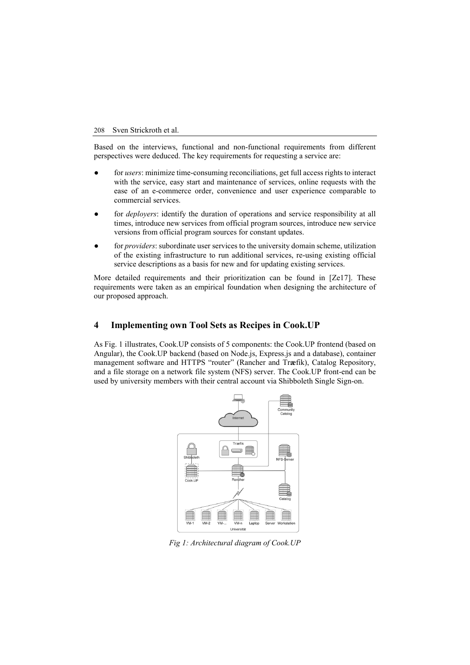Based on the interviews, functional and non-functional requirements from different perspectives were deduced. The key requirements for requesting a service are:

- for *users*: minimize time-consuming reconciliations, get full access rights to interact with the service, easy start and maintenance of services, online requests with the ease of an e-commerce order, convenience and user experience comparable to commercial services.
- for *deployers*: identify the duration of operations and service responsibility at all times, introduce new services from official program sources, introduce new service versions from official program sources for constant updates.
- for *providers*: subordinate user services to the university domain scheme, utilization of the existing infrastructure to run additional services, re-using existing official service descriptions as a basis for new and for updating existing services.

More detailed requirements and their prioritization can be found in [Ze17]. These requirements were taken as an empirical foundation when designing the architecture of our proposed approach.

## **4 Implementing own Tool Sets as Recipes in Cook.UP**

As Fig. 1 illustrates, Cook.UP consists of 5 components: the Cook.UP frontend (based on Angular), the Cook.UP backend (based on Node.js, Express.js and a database), container management software and HTTPS "router" (Rancher and Tr**æ**fik), Catalog Repository, and a file storage on a network file system (NFS) server. The Cook.UP front-end can be used by university members with their central account via Shibboleth Single Sign-on.



*Fig 1: Architectural diagram of Cook.UP*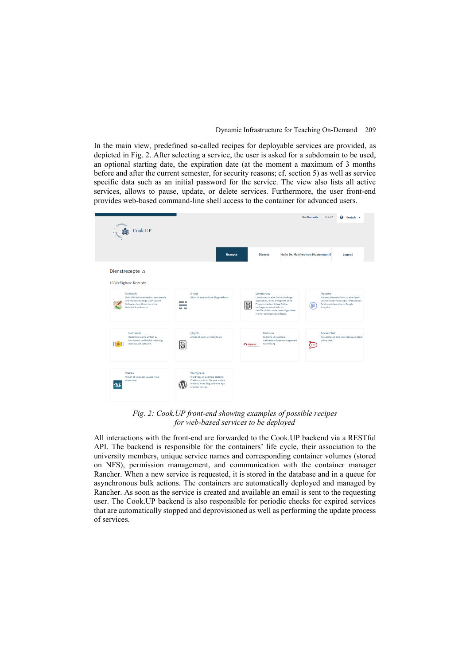In the main view, predefined so-called recipes for deployable services are provided, as depicted in Fig. 2. After selecting a service, the user is asked for a subdomain to be used, an optional starting date, the expiration date (at the moment a maximum of 3 months before and after the current semester, for security reasons; cf. section 5) as well as service specific data such as an initial password for the service. The view also lists all active services, allows to pause, update, or delete services. Furthermore, the user front-end provides web-based command-line shell access to the container for advanced users.



*Fig. 2: Cook.UP front-end showing examples of possible recipes for web-based services to be deployed*

All interactions with the front-end are forwarded to the Cook.UP backend via a RESTful API. The backend is responsible for the containers' life cycle, their association to the university members, unique service names and corresponding container volumes (stored on NFS), permission management, and communication with the container manager Rancher. When a new service is requested, it is stored in the database and in a queue for asynchronous bulk actions. The containers are automatically deployed and managed by Rancher. As soon as the service is created and available an email is sent to the requesting user. The Cook.UP backend is also responsible for periodic checks for expired services that are automatically stopped and deprovisioned as well as performing the update process of services.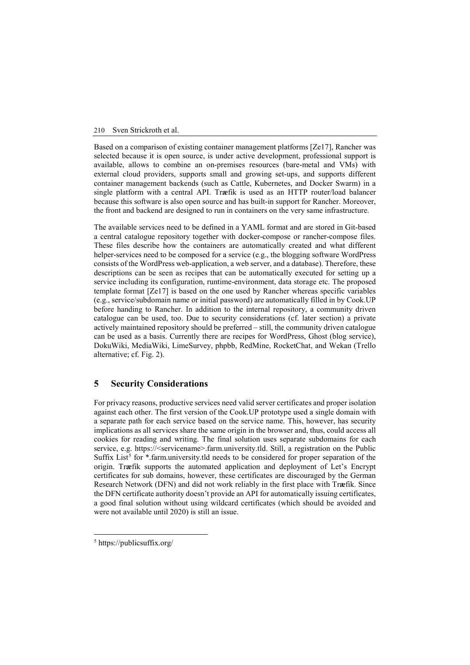Based on a comparison of existing container management platforms [Ze17], Rancher was selected because it is open source, is under active development, professional support is available, allows to combine an on-premises resources (bare-metal and VMs) with external cloud providers, supports small and growing set-ups, and supports different container management backends (such as Cattle, Kubernetes, and Docker Swarm) in a single platform with a central API. Tr**æ**fik is used as an HTTP router/load balancer because this software is also open source and has built-in support for Rancher. Moreover, the front and backend are designed to run in containers on the very same infrastructure.

The available services need to be defined in a YAML format and are stored in Git-based a central catalogue repository together with docker-compose or rancher-compose files. These files describe how the containers are automatically created and what different helper-services need to be composed for a service (e.g., the blogging software WordPress consists of the WordPress web-application, a web server, and a database). Therefore, these descriptions can be seen as recipes that can be automatically executed for setting up a service including its configuration, runtime-environment, data storage etc. The proposed template format [Ze17] is based on the one used by Rancher whereas specific variables (e.g., service/subdomain name or initial password) are automatically filled in by Cook.UP before handing to Rancher. In addition to the internal repository, a community driven catalogue can be used, too. Due to security considerations (cf. later section) a private actively maintained repository should be preferred – still, the community driven catalogue can be used as a basis. Currently there are recipes for WordPress, Ghost (blog service), DokuWiki, MediaWiki, LimeSurvey, phpbb, RedMine, RocketChat, and Wekan (Trello alternative; cf. Fig. 2).

# **5 Security Considerations**

For privacy reasons, productive services need valid server certificates and proper isolation against each other. The first version of the Cook.UP prototype used a single domain with a separate path for each service based on the service name. This, however, has security implications as all services share the same origin in the browser and, thus, could access all cookies for reading and writing. The final solution uses separate subdomains for each service, e.g. https://<servicename>.farm.university.tld. Still, a registration on the Public Suffix List<sup>[5](#page-5-0)</sup> for \*.farm.university.tld needs to be considered for proper separation of the origin. Tr**æ**fik supports the automated application and deployment of Let's Encrypt certificates for sub domains, however, these certificates are discouraged by the German Research Network (DFN) and did not work reliably in the first place with Tr**æ**fik. Since the DFN certificate authority doesn't provide an API for automatically issuing certificates, a good final solution without using wildcard certificates (which should be avoided and were not available until 2020) is still an issue.

<span id="page-5-0"></span> <sup>5</sup> https://publicsuffix.org/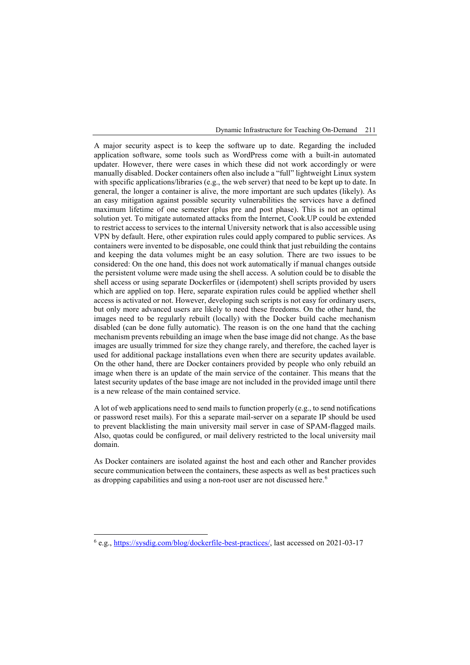A major security aspect is to keep the software up to date. Regarding the included application software, some tools such as WordPress come with a built-in automated updater. However, there were cases in which these did not work accordingly or were manually disabled. Docker containers often also include a "full" lightweight Linux system with specific applications/libraries (e.g., the web server) that need to be kept up to date. In general, the longer a container is alive, the more important are such updates (likely). As an easy mitigation against possible security vulnerabilities the services have a defined maximum lifetime of one semester (plus pre and post phase). This is not an optimal solution yet. To mitigate automated attacks from the Internet, Cook.UP could be extended to restrict access to services to the internal University network that is also accessible using VPN by default. Here, other expiration rules could apply compared to public services. As containers were invented to be disposable, one could think that just rebuilding the contains and keeping the data volumes might be an easy solution. There are two issues to be considered: On the one hand, this does not work automatically if manual changes outside the persistent volume were made using the shell access. A solution could be to disable the shell access or using separate Dockerfiles or (idempotent) shell scripts provided by users which are applied on top. Here, separate expiration rules could be applied whether shell access is activated or not. However, developing such scripts is not easy for ordinary users, but only more advanced users are likely to need these freedoms. On the other hand, the images need to be regularly rebuilt (locally) with the Docker build cache mechanism disabled (can be done fully automatic). The reason is on the one hand that the caching mechanism prevents rebuilding an image when the base image did not change. As the base images are usually trimmed for size they change rarely, and therefore, the cached layer is used for additional package installations even when there are security updates available. On the other hand, there are Docker containers provided by people who only rebuild an image when there is an update of the main service of the container. This means that the latest security updates of the base image are not included in the provided image until there is a new release of the main contained service.

A lot of web applications need to send mails to function properly (e.g., to send notifications or password reset mails). For this a separate mail-server on a separate IP should be used to prevent blacklisting the main university mail server in case of SPAM-flagged mails. Also, quotas could be configured, or mail delivery restricted to the local university mail domain.

As Docker containers are isolated against the host and each other and Rancher provides secure communication between the containers, these aspects as well as best practices such as dropping capabilities and using a non-root user are not discussed here.<sup>[6](#page-6-0)</sup>

<span id="page-6-0"></span> <sup>6</sup> e.g., [https://sysdig.com/blog/dockerfile-best-practices/,](https://sysdig.com/blog/dockerfile-best-practices/) last accessed on 2021-03-17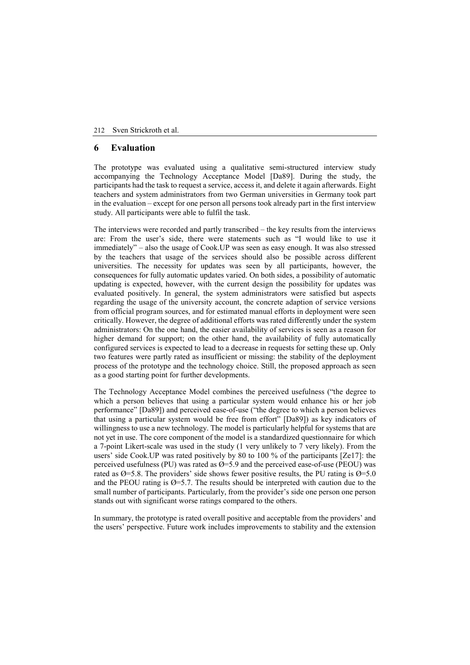### **6 Evaluation**

The prototype was evaluated using a qualitative semi-structured interview study accompanying the Technology Acceptance Model [Da89]. During the study, the participants had the task to request a service, access it, and delete it again afterwards. Eight teachers and system administrators from two German universities in Germany took part in the evaluation – except for one person all persons took already part in the first interview study. All participants were able to fulfil the task.

The interviews were recorded and partly transcribed – the key results from the interviews are: From the user's side, there were statements such as "I would like to use it immediately" – also the usage of Cook.UP was seen as easy enough. It was also stressed by the teachers that usage of the services should also be possible across different universities. The necessity for updates was seen by all participants, however, the consequences for fully automatic updates varied. On both sides, a possibility of automatic updating is expected, however, with the current design the possibility for updates was evaluated positively. In general, the system administrators were satisfied but aspects regarding the usage of the university account, the concrete adaption of service versions from official program sources, and for estimated manual efforts in deployment were seen critically. However, the degree of additional efforts was rated differently under the system administrators: On the one hand, the easier availability of services is seen as a reason for higher demand for support; on the other hand, the availability of fully automatically configured services is expected to lead to a decrease in requests for setting these up. Only two features were partly rated as insufficient or missing: the stability of the deployment process of the prototype and the technology choice. Still, the proposed approach as seen as a good starting point for further developments.

The Technology Acceptance Model combines the perceived usefulness ("the degree to which a person believes that using a particular system would enhance his or her job performance" [Da89]) and perceived ease-of-use ("the degree to which a person believes that using a particular system would be free from effort" [Da89]) as key indicators of willingness to use a new technology. The model is particularly helpful for systems that are not yet in use. The core component of the model is a standardized questionnaire for which a 7-point Likert-scale was used in the study (1 very unlikely to 7 very likely). From the users' side Cook.UP was rated positively by 80 to 100 % of the participants [Ze17]: the perceived usefulness (PU) was rated as  $\varnothing$ =5.9 and the perceived ease-of-use (PEOU) was rated as  $\varnothing$ =5.8. The providers' side shows fewer positive results, the PU rating is  $\varnothing$ =5.0 and the PEOU rating is  $\varnothing$ =5.7. The results should be interpreted with caution due to the small number of participants. Particularly, from the provider's side one person one person stands out with significant worse ratings compared to the others.

In summary, the prototype is rated overall positive and acceptable from the providers' and the users' perspective. Future work includes improvements to stability and the extension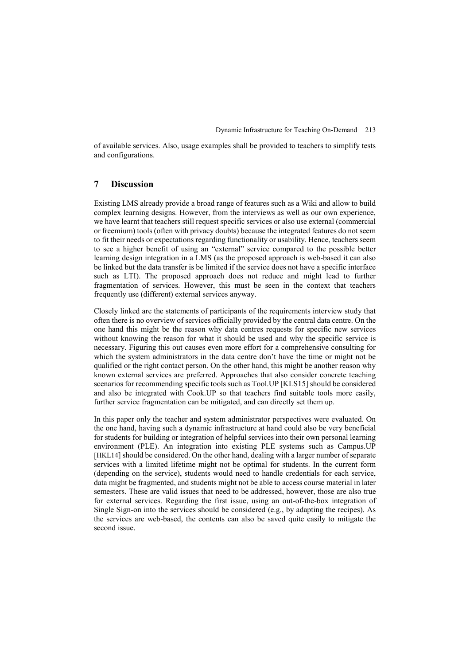of available services. Also, usage examples shall be provided to teachers to simplify tests and configurations.

### **7 Discussion**

Existing LMS already provide a broad range of features such as a Wiki and allow to build complex learning designs. However, from the interviews as well as our own experience, we have learnt that teachers still request specific services or also use external (commercial or freemium) tools (often with privacy doubts) because the integrated features do not seem to fit their needs or expectations regarding functionality or usability. Hence, teachers seem to see a higher benefit of using an "external" service compared to the possible better learning design integration in a LMS (as the proposed approach is web-based it can also be linked but the data transfer is be limited if the service does not have a specific interface such as LTI). The proposed approach does not reduce and might lead to further fragmentation of services. However, this must be seen in the context that teachers frequently use (different) external services anyway.

Closely linked are the statements of participants of the requirements interview study that often there is no overview of services officially provided by the central data centre. On the one hand this might be the reason why data centres requests for specific new services without knowing the reason for what it should be used and why the specific service is necessary. Figuring this out causes even more effort for a comprehensive consulting for which the system administrators in the data centre don't have the time or might not be qualified or the right contact person. On the other hand, this might be another reason why known external services are preferred. Approaches that also consider concrete teaching scenarios for recommending specific tools such as Tool.UP [KLS15] should be considered and also be integrated with Cook.UP so that teachers find suitable tools more easily, further service fragmentation can be mitigated, and can directly set them up.

In this paper only the teacher and system administrator perspectives were evaluated. On the one hand, having such a dynamic infrastructure at hand could also be very beneficial for students for building or integration of helpful services into their own personal learning environment (PLE). An integration into existing PLE systems such as Campus.UP [HKL14] should be considered. On the other hand, dealing with a larger number of separate services with a limited lifetime might not be optimal for students. In the current form (depending on the service), students would need to handle credentials for each service, data might be fragmented, and students might not be able to access course material in later semesters. These are valid issues that need to be addressed, however, those are also true for external services. Regarding the first issue, using an out-of-the-box integration of Single Sign-on into the services should be considered (e.g., by adapting the recipes). As the services are web-based, the contents can also be saved quite easily to mitigate the second issue.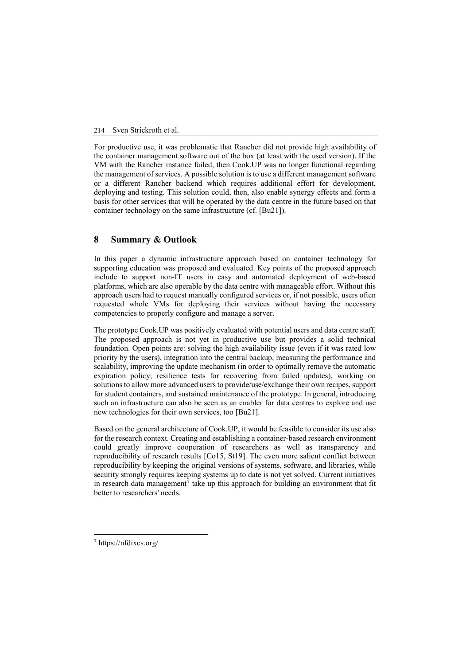For productive use, it was problematic that Rancher did not provide high availability of the container management software out of the box (at least with the used version). If the VM with the Rancher instance failed, then Cook.UP was no longer functional regarding the management of services. A possible solution is to use a different management software or a different Rancher backend which requires additional effort for development, deploying and testing. This solution could, then, also enable synergy effects and form a basis for other services that will be operated by the data centre in the future based on that container technology on the same infrastructure (cf. [Bu21]).

## **8 Summary & Outlook**

In this paper a dynamic infrastructure approach based on container technology for supporting education was proposed and evaluated. Key points of the proposed approach include to support non-IT users in easy and automated deployment of web-based platforms, which are also operable by the data centre with manageable effort. Without this approach users had to request manually configured services or, if not possible, users often requested whole VMs for deploying their services without having the necessary competencies to properly configure and manage a server.

The prototype Cook.UP was positively evaluated with potential users and data centre staff. The proposed approach is not yet in productive use but provides a solid technical foundation. Open points are: solving the high availability issue (even if it was rated low priority by the users), integration into the central backup, measuring the performance and scalability, improving the update mechanism (in order to optimally remove the automatic expiration policy; resilience tests for recovering from failed updates), working on solutions to allow more advanced users to provide/use/exchange their own recipes, support for student containers, and sustained maintenance of the prototype. In general, introducing such an infrastructure can also be seen as an enabler for data centres to explore and use new technologies for their own services, too [Bu21].

Based on the general architecture of Cook.UP, it would be feasible to consider its use also for the research context. Creating and establishing a container-based research environment could greatly improve cooperation of researchers as well as transparency and reproducibility of research results [Co15, St19]. The even more salient conflict between reproducibility by keeping the original versions of systems, software, and libraries, while security strongly requires keeping systems up to date is not yet solved. Current initiatives in research data management<sup>[7](#page-9-0)</sup> take up this approach for building an environment that fit better to researchers' needs.

<span id="page-9-0"></span> <sup>7</sup> https://nfdixcs.org/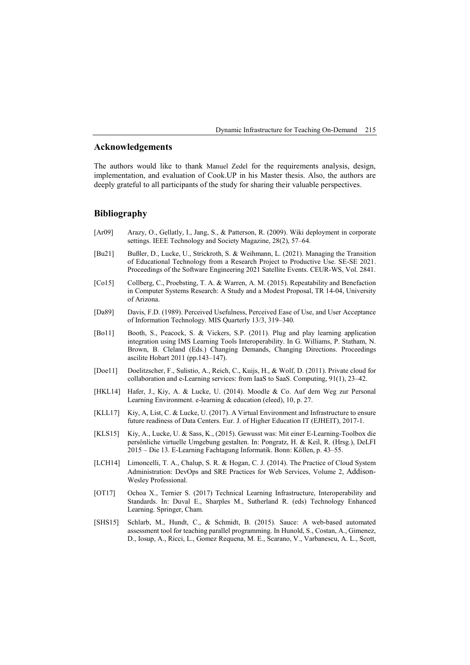## **Acknowledgements**

The authors would like to thank Manuel Zedel for the requirements analysis, design, implementation, and evaluation of Cook.UP in his Master thesis. Also, the authors are deeply grateful to all participants of the study for sharing their valuable perspectives.

# **Bibliography**

- [Ar09] Arazy, O., Gellatly, I., Jang, S., & Patterson, R. (2009). Wiki deployment in corporate settings. IEEE Technology and Society Magazine, 28(2), 57–64.
- [Bu21] Bußler, D., Lucke, U., Strickroth, S. & Weihmann, L. (2021). Managing the Transition of Educational Technology from a Research Project to Productive Use. SE-SE 2021. Proceedings of the Software Engineering 2021 Satellite Events. CEUR-WS, Vol. 2841.
- [Co15] Collberg, C., Proebsting, T. A. & Warren, A. M. (2015). Repeatability and Benefaction in Computer Systems Research: A Study and a Modest Proposal, TR 14-04, University of Arizona.
- [Da89] Davis, F.D. (1989). Perceived Usefulness, Perceived Ease of Use, and User Acceptance of Information Technology. MIS Quarterly 13/3, 319–340.
- [Bo11] Booth, S., Peacock, S. & Vickers, S.P. (2011). Plug and play learning application integration using IMS Learning Tools Interoperability. In G. Williams, P. Statham, N. Brown, B. Cleland (Eds.) Changing Demands, Changing Directions. Proceedings ascilite Hobart 2011 (pp.143–147).
- [Doe11] Doelitzscher, F., Sulistio, A., Reich, C., Kuijs, H., & Wolf, D. (2011). Private cloud for collaboration and e-Learning services: from IaaS to SaaS. Computing, 91(1), 23–42.
- [HKL14] Hafer, J., Kiy, A. & Lucke, U. (2014). Moodle & Co. Auf dem Weg zur Personal Learning Environment. e-learning & education (eleed), 10, p. 27.
- [KLL17] Kiy, A, List, C. & Lucke, U. (2017). A Virtual Environment and Infrastructure to ensure future readiness of Data Centers. Eur. J. of Higher Education IT (EJHEIT), 2017-1.
- [KLS15] Kiy, A., Lucke, U. & Sass, K., (2015). Gewusst was: Mit einer E-Learning-Toolbox die persönliche virtuelle Umgebung gestalten. In: Pongratz, H. & Keil, R. (Hrsg.), DeLFI 2015 – Die 13. E-Learning Fachtagung Informatik. Bonn: Köllen, p. 43–55.
- [LCH14] Limoncelli, T. A., Chalup, S. R. & Hogan, C. J. (2014). The Practice of Cloud System Administration: DevOps and SRE Practices for Web Services, Volume 2, Addison-Wesley Professional.
- [OT17] Ochoa X., Ternier S. (2017) Technical Learning Infrastructure, Interoperability and Standards. In: Duval E., Sharples M., Sutherland R. (eds) Technology Enhanced Learning. Springer, Cham.
- [SHS15] Schlarb, M., Hundt, C., & Schmidt, B. (2015). Sauce: A web-based automated assessment tool for teaching parallel programming. In Hunold, S., Costan, A., Gimenez, D., Iosup, A., Ricci, L., Gomez Requena, M. E., Scarano, V., Varbanescu, A. L., Scott,